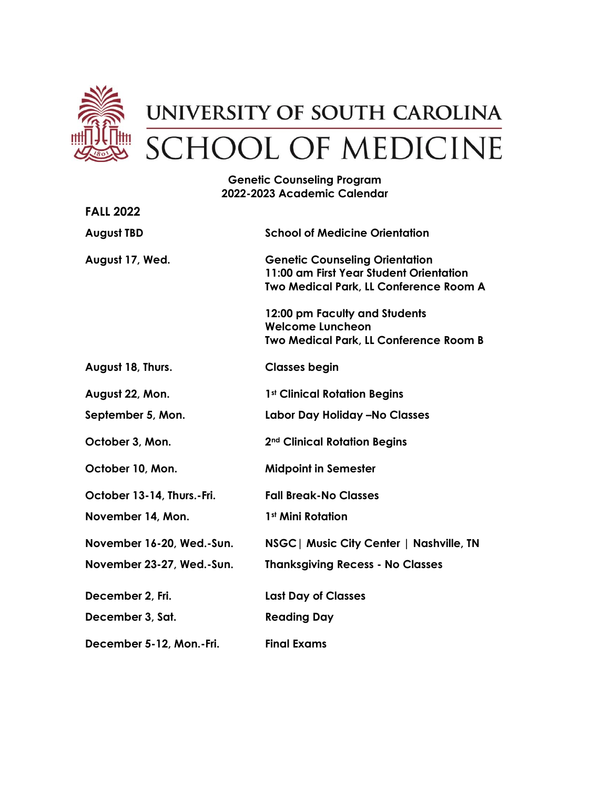

## **Genetic Counseling Program 2022-2023 Academic Calendar**

| <b>FALL 2022</b>           |                                                                                                                            |
|----------------------------|----------------------------------------------------------------------------------------------------------------------------|
| <b>August TBD</b>          | <b>School of Medicine Orientation</b>                                                                                      |
| August 17, Wed.            | <b>Genetic Counseling Orientation</b><br>11:00 am First Year Student Orientation<br>Two Medical Park, LL Conference Room A |
|                            | 12:00 pm Faculty and Students<br><b>Welcome Luncheon</b><br>Two Medical Park, LL Conference Room B                         |
| August 18, Thurs.          | <b>Classes begin</b>                                                                                                       |
| August 22, Mon.            | 1st Clinical Rotation Begins                                                                                               |
| September 5, Mon.          | Labor Day Holiday - No Classes                                                                                             |
| October 3, Mon.            | 2 <sup>nd</sup> Clinical Rotation Begins                                                                                   |
| October 10, Mon.           | <b>Midpoint in Semester</b>                                                                                                |
| October 13-14, Thurs.-Fri. | <b>Fall Break-No Classes</b>                                                                                               |
| November 14, Mon.          | 1 <sup>st</sup> Mini Rotation                                                                                              |
| November 16-20, Wed.-Sun.  | NSGC   Music City Center   Nashville, TN                                                                                   |
| November 23-27, Wed.-Sun.  | <b>Thanksgiving Recess - No Classes</b>                                                                                    |
| December 2, Fri.           | <b>Last Day of Classes</b>                                                                                                 |
| December 3, Sat.           | <b>Reading Day</b>                                                                                                         |
| December 5-12, Mon.-Fri.   | <b>Final Exams</b>                                                                                                         |